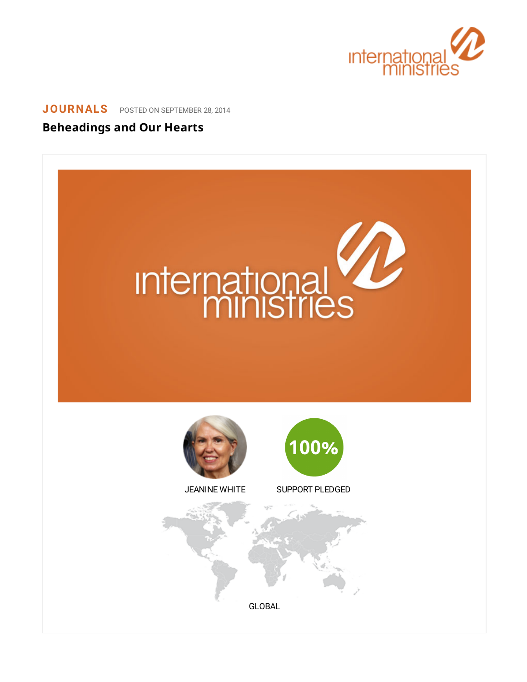

## **[JOURNALS](https://www.internationalministries.org/category/journals/)** POSTED ON SEPTEMBER 28, 2014

## **Beheadings and Our Hearts**